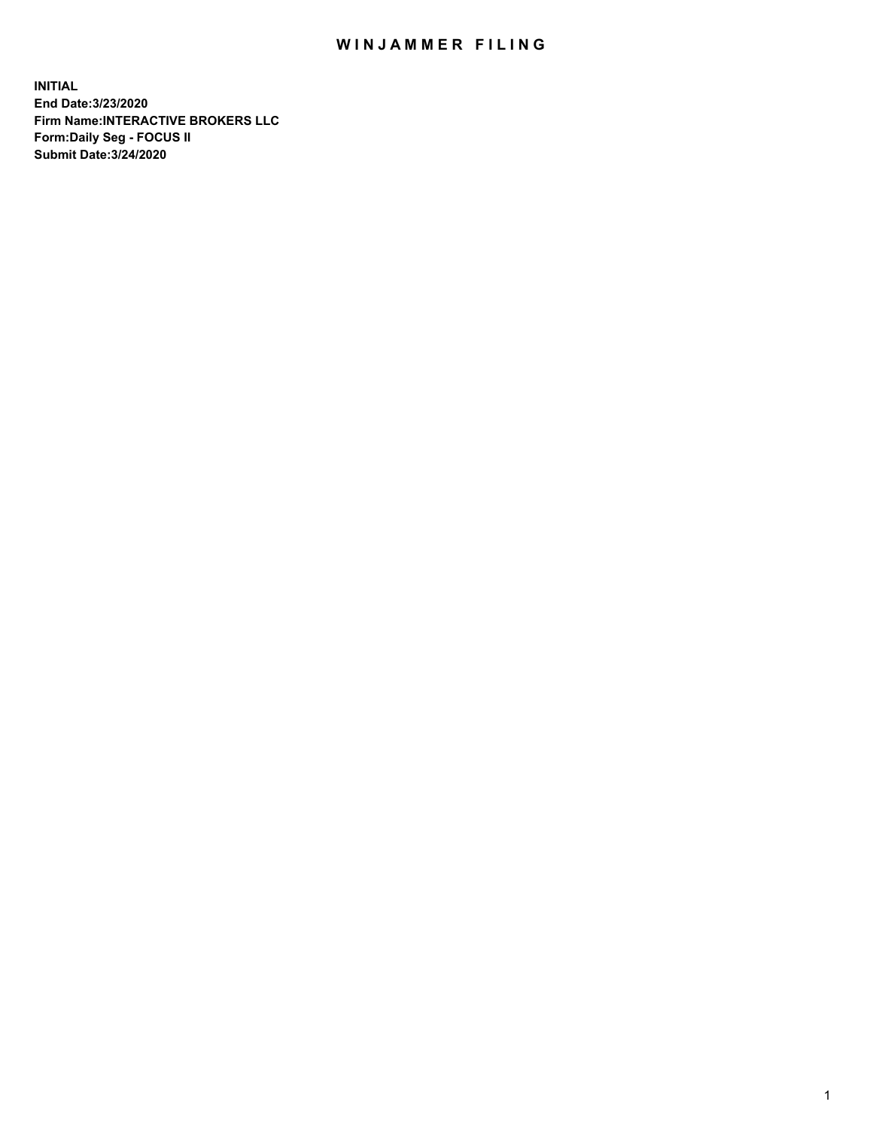## WIN JAMMER FILING

**INITIAL End Date:3/23/2020 Firm Name:INTERACTIVE BROKERS LLC Form:Daily Seg - FOCUS II Submit Date:3/24/2020**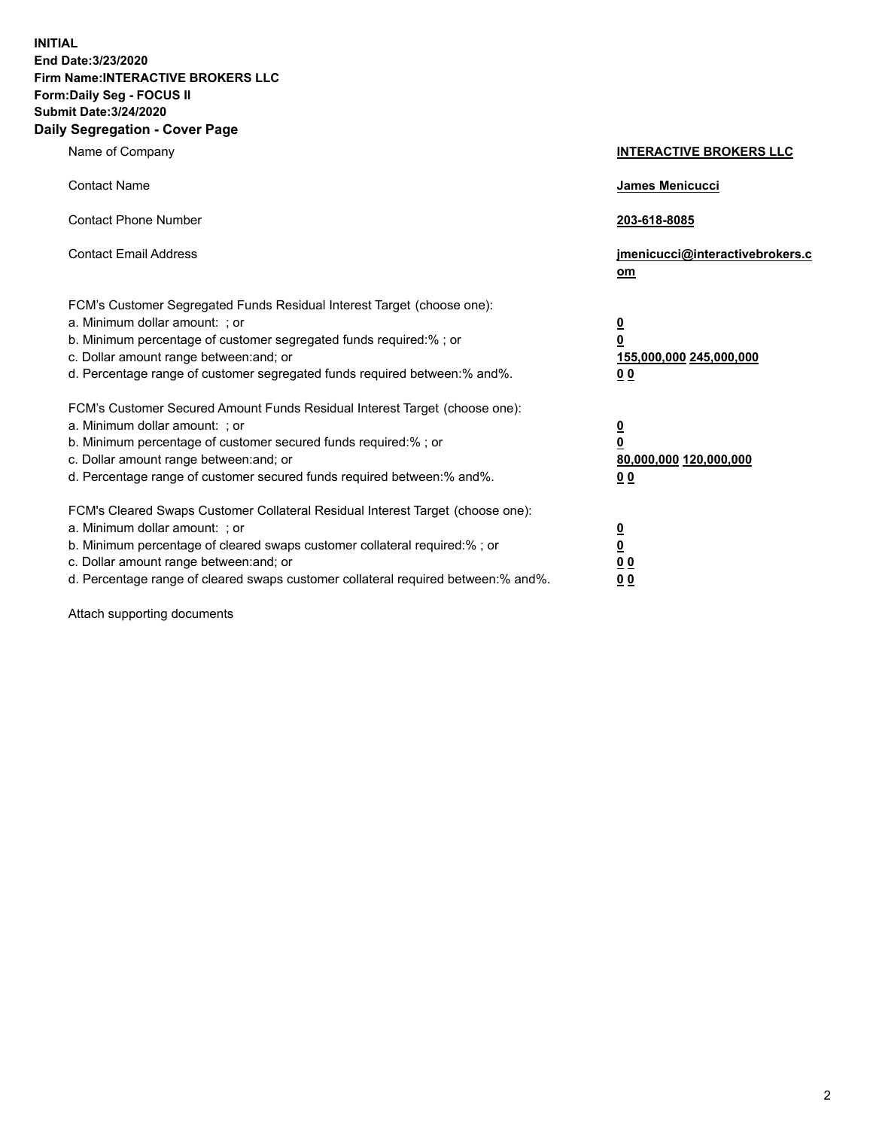**INITIAL End Date:3/23/2020 Firm Name:INTERACTIVE BROKERS LLC Form:Daily Seg - FOCUS II Submit Date:3/24/2020 Daily Segregation - Cover Page**

| Name of Company                                                                                                                                                                                                                                                                                                                | <b>INTERACTIVE BROKERS LLC</b>                                                   |
|--------------------------------------------------------------------------------------------------------------------------------------------------------------------------------------------------------------------------------------------------------------------------------------------------------------------------------|----------------------------------------------------------------------------------|
| <b>Contact Name</b>                                                                                                                                                                                                                                                                                                            | James Menicucci                                                                  |
| <b>Contact Phone Number</b>                                                                                                                                                                                                                                                                                                    | 203-618-8085                                                                     |
| <b>Contact Email Address</b>                                                                                                                                                                                                                                                                                                   | jmenicucci@interactivebrokers.c<br>om                                            |
| FCM's Customer Segregated Funds Residual Interest Target (choose one):<br>a. Minimum dollar amount: ; or<br>b. Minimum percentage of customer segregated funds required:% ; or<br>c. Dollar amount range between: and; or<br>d. Percentage range of customer segregated funds required between:% and%.                         | <u>0</u><br>$\overline{\mathbf{0}}$<br>155,000,000 245,000,000<br>0 <sub>0</sub> |
| FCM's Customer Secured Amount Funds Residual Interest Target (choose one):<br>a. Minimum dollar amount: ; or<br>b. Minimum percentage of customer secured funds required:% ; or<br>c. Dollar amount range between: and; or<br>d. Percentage range of customer secured funds required between:% and%.                           | <u>0</u><br>$\overline{\mathbf{0}}$<br>80,000,000 120,000,000<br>0 <sub>0</sub>  |
| FCM's Cleared Swaps Customer Collateral Residual Interest Target (choose one):<br>a. Minimum dollar amount: ; or<br>b. Minimum percentage of cleared swaps customer collateral required:% ; or<br>c. Dollar amount range between: and; or<br>d. Percentage range of cleared swaps customer collateral required between:% and%. | <u>0</u><br>$\underline{\mathbf{0}}$<br>0 <sub>0</sub><br>0 <sub>0</sub>         |

Attach supporting documents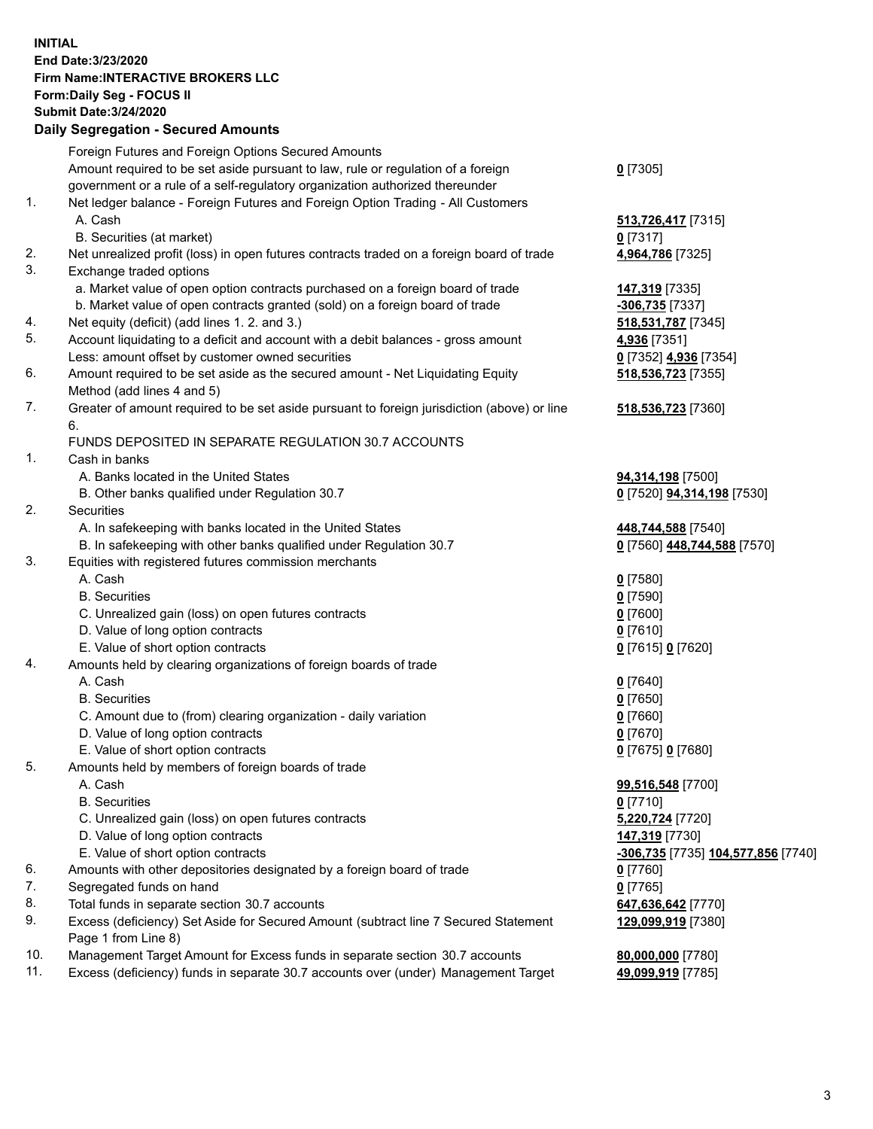**INITIAL End Date:3/23/2020 Firm Name:INTERACTIVE BROKERS LLC Form:Daily Seg - FOCUS II Submit Date:3/24/2020 Daily Segregation - Secured Amounts**

|     | Foreign Futures and Foreign Options Secured Amounts                                               |                                                  |
|-----|---------------------------------------------------------------------------------------------------|--------------------------------------------------|
|     | Amount required to be set aside pursuant to law, rule or regulation of a foreign                  | $0$ [7305]                                       |
|     | government or a rule of a self-regulatory organization authorized thereunder                      |                                                  |
| 1.  | Net ledger balance - Foreign Futures and Foreign Option Trading - All Customers                   |                                                  |
|     | A. Cash                                                                                           | 513,726,417 [7315]                               |
|     | B. Securities (at market)                                                                         | $0$ [7317]                                       |
| 2.  | Net unrealized profit (loss) in open futures contracts traded on a foreign board of trade         | 4,964,786 [7325]                                 |
| 3.  | Exchange traded options                                                                           |                                                  |
|     | a. Market value of open option contracts purchased on a foreign board of trade                    | 147,319 [7335]                                   |
|     | b. Market value of open contracts granted (sold) on a foreign board of trade                      | -306,735 [7337]                                  |
| 4.  | Net equity (deficit) (add lines 1. 2. and 3.)                                                     | 518,531,787 [7345]                               |
| 5.  | Account liquidating to a deficit and account with a debit balances - gross amount                 | 4,936 [7351]                                     |
|     | Less: amount offset by customer owned securities                                                  | 0 [7352] 4,936 [7354]                            |
| 6.  | Amount required to be set aside as the secured amount - Net Liquidating Equity                    | 518,536,723 [7355]                               |
|     | Method (add lines 4 and 5)                                                                        |                                                  |
| 7.  | Greater of amount required to be set aside pursuant to foreign jurisdiction (above) or line<br>6. | 518,536,723 [7360]                               |
|     | FUNDS DEPOSITED IN SEPARATE REGULATION 30.7 ACCOUNTS                                              |                                                  |
| 1.  | Cash in banks                                                                                     |                                                  |
|     | A. Banks located in the United States                                                             | 94,314,198 [7500]                                |
|     | B. Other banks qualified under Regulation 30.7                                                    | 0 [7520] 94,314,198 [7530]                       |
| 2.  | Securities                                                                                        |                                                  |
|     | A. In safekeeping with banks located in the United States                                         | 448,744,588 [7540]                               |
|     | B. In safekeeping with other banks qualified under Regulation 30.7                                | 0 [7560] 448,744,588 [7570]                      |
| 3.  | Equities with registered futures commission merchants                                             |                                                  |
|     | A. Cash                                                                                           | $0$ [7580]                                       |
|     | <b>B.</b> Securities                                                                              | $0$ [7590]                                       |
|     | C. Unrealized gain (loss) on open futures contracts                                               | $0$ [7600]                                       |
|     | D. Value of long option contracts                                                                 | $0$ [7610]                                       |
|     | E. Value of short option contracts                                                                | 0 [7615] 0 [7620]                                |
| 4.  | Amounts held by clearing organizations of foreign boards of trade                                 |                                                  |
|     | A. Cash                                                                                           | $0$ [7640]                                       |
|     | <b>B.</b> Securities                                                                              | $0$ [7650]                                       |
|     | C. Amount due to (from) clearing organization - daily variation                                   | $0$ [7660]                                       |
|     | D. Value of long option contracts                                                                 | $0$ [7670]                                       |
|     | E. Value of short option contracts                                                                | 0 [7675] 0 [7680]                                |
| 5.  | Amounts held by members of foreign boards of trade                                                |                                                  |
|     | A. Cash                                                                                           | 99,516,548 [7700]                                |
|     | <b>B.</b> Securities                                                                              | $0$ [7710]                                       |
|     | C. Unrealized gain (loss) on open futures contracts                                               | 5,220,724 [7720]                                 |
|     | D. Value of long option contracts                                                                 | 147,319 [7730]                                   |
|     | E. Value of short option contracts                                                                | <u>-306,735</u> [7735] <u>104,577,856</u> [7740] |
| 6.  | Amounts with other depositories designated by a foreign board of trade                            | $0$ [7760]                                       |
| 7.  | Segregated funds on hand                                                                          | $0$ [7765]                                       |
| 8.  | Total funds in separate section 30.7 accounts                                                     | 647,636,642 [7770]                               |
| 9.  | Excess (deficiency) Set Aside for Secured Amount (subtract line 7 Secured Statement               | 129,099,919 [7380]                               |
|     | Page 1 from Line 8)                                                                               |                                                  |
| 10. | Management Target Amount for Excess funds in separate section 30.7 accounts                       | 80,000,000 [7780]                                |
| 11. | Excess (deficiency) funds in separate 30.7 accounts over (under) Management Target                | 49,099,919 [7785]                                |
|     |                                                                                                   |                                                  |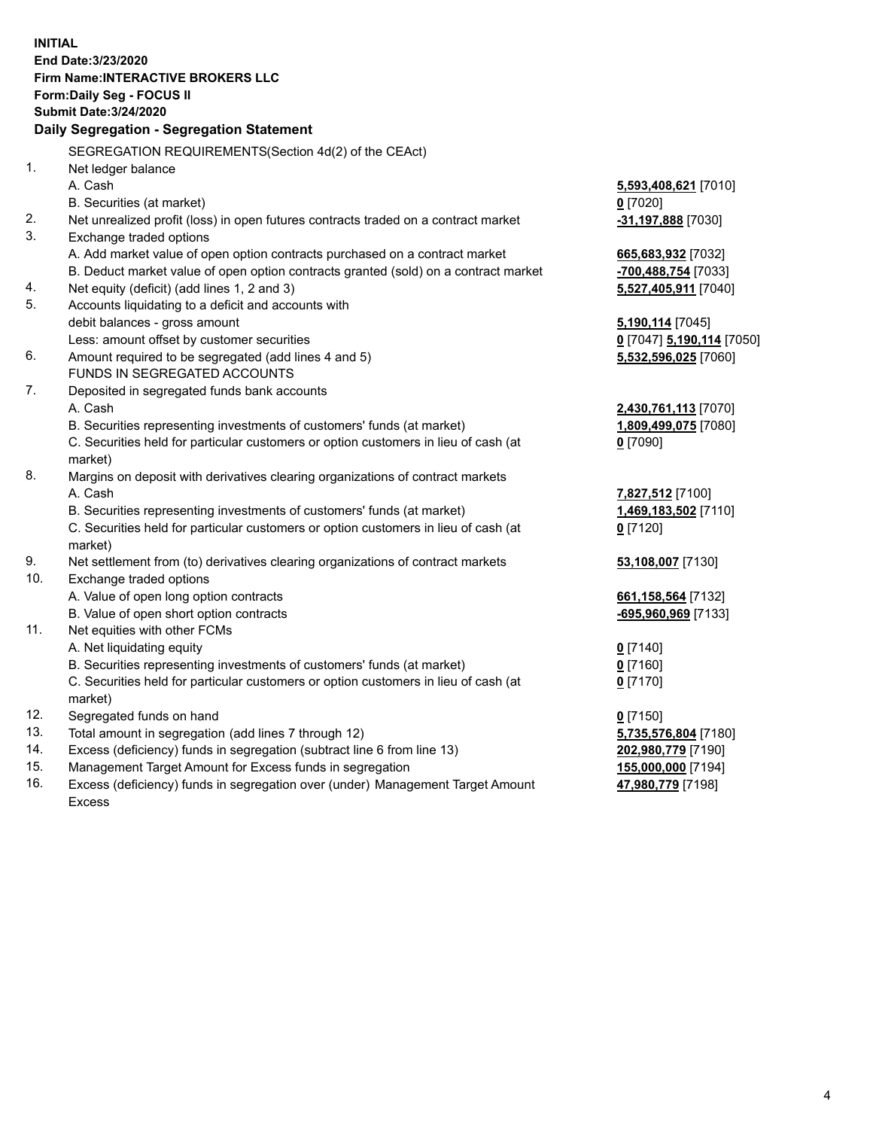**INITIAL End Date:3/23/2020 Firm Name:INTERACTIVE BROKERS LLC Form:Daily Seg - FOCUS II Submit Date:3/24/2020 Daily Segregation - Segregation Statement** SEGREGATION REQUIREMENTS(Section 4d(2) of the CEAct) 1. Net ledger balance A. Cash **5,593,408,621** [7010] B. Securities (at market) **0** [7020] 2. Net unrealized profit (loss) in open futures contracts traded on a contract market **-31,197,888** [7030] 3. Exchange traded options A. Add market value of open option contracts purchased on a contract market **665,683,932** [7032] B. Deduct market value of open option contracts granted (sold) on a contract market **-700,488,754** [7033] 4. Net equity (deficit) (add lines 1, 2 and 3) **5,527,405,911** [7040] 5. Accounts liquidating to a deficit and accounts with debit balances - gross amount **5,190,114** [7045] Less: amount offset by customer securities **0** [7047] **5,190,114** [7050] 6. Amount required to be segregated (add lines 4 and 5) **5,532,596,025** [7060] FUNDS IN SEGREGATED ACCOUNTS 7. Deposited in segregated funds bank accounts A. Cash **2,430,761,113** [7070] B. Securities representing investments of customers' funds (at market) **1,809,499,075** [7080] C. Securities held for particular customers or option customers in lieu of cash (at market) **0** [7090] 8. Margins on deposit with derivatives clearing organizations of contract markets A. Cash **7,827,512** [7100] B. Securities representing investments of customers' funds (at market) **1,469,183,502** [7110] C. Securities held for particular customers or option customers in lieu of cash (at market) **0** [7120] 9. Net settlement from (to) derivatives clearing organizations of contract markets **53,108,007** [7130] 10. Exchange traded options A. Value of open long option contracts **661,158,564** [7132] B. Value of open short option contracts **-695,960,969** [7133] 11. Net equities with other FCMs A. Net liquidating equity **0** [7140] B. Securities representing investments of customers' funds (at market) **0** [7160] C. Securities held for particular customers or option customers in lieu of cash (at market) **0** [7170] 12. Segregated funds on hand **0** [7150] 13. Total amount in segregation (add lines 7 through 12) **5,735,576,804** [7180] 14. Excess (deficiency) funds in segregation (subtract line 6 from line 13) **202,980,779** [7190] 15. Management Target Amount for Excess funds in segregation **155,000,000** [7194] **47,980,779** [7198]

16. Excess (deficiency) funds in segregation over (under) Management Target Amount Excess